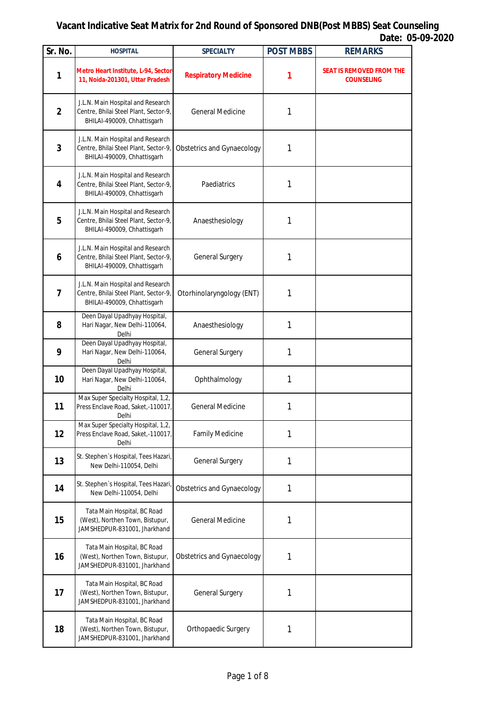| Sr. No.                 | <b>HOSPITAL</b>                                                                                           | <b>SPECIALTY</b>                  | <b>POST MBBS</b> | <b>REMARKS</b>                                       |
|-------------------------|-----------------------------------------------------------------------------------------------------------|-----------------------------------|------------------|------------------------------------------------------|
| 1                       | Metro Heart Institute, L-94, Sector-<br>11, Noida-201301, Uttar Pradesh                                   | <b>Respiratory Medicine</b>       | 1                | <b>SEAT IS REMOVED FROM THE</b><br><b>COUNSELING</b> |
| $\overline{2}$          | J.L.N. Main Hospital and Research<br>Centre, Bhilai Steel Plant, Sector-9,<br>BHILAI-490009, Chhattisgarh | <b>General Medicine</b>           | 1                |                                                      |
| $\overline{\mathbf{3}}$ | J.L.N. Main Hospital and Research<br>Centre, Bhilai Steel Plant, Sector-9,<br>BHILAI-490009, Chhattisgarh | <b>Obstetrics and Gynaecology</b> | 1                |                                                      |
| 4                       | J.L.N. Main Hospital and Research<br>Centre, Bhilai Steel Plant, Sector-9,<br>BHILAI-490009, Chhattisgarh | Paediatrics                       | 1                |                                                      |
| 5                       | J.L.N. Main Hospital and Research<br>Centre, Bhilai Steel Plant, Sector-9,<br>BHILAI-490009, Chhattisgarh | Anaesthesiology                   | 1                |                                                      |
| $\boldsymbol{6}$        | J.L.N. Main Hospital and Research<br>Centre, Bhilai Steel Plant, Sector-9,<br>BHILAI-490009, Chhattisgarh | General Surgery                   | 1                |                                                      |
| $\overline{7}$          | J.L.N. Main Hospital and Research<br>Centre, Bhilai Steel Plant, Sector-9,<br>BHILAI-490009, Chhattisgarh | Otorhinolaryngology (ENT)         | 1                |                                                      |
| 8                       | Deen Dayal Upadhyay Hospital,<br>Hari Nagar, New Delhi-110064,<br>Delhi                                   | Anaesthesiology                   | 1                |                                                      |
| 9                       | Deen Dayal Upadhyay Hospital,<br>Hari Nagar, New Delhi-110064,<br>Delhi                                   | General Surgery                   | 1                |                                                      |
| 10                      | Deen Dayal Upadhyay Hospital,<br>Hari Nagar, New Delhi-110064,<br>Delhi                                   | Ophthalmology                     | 1                |                                                      |
| 11                      | Max Super Specialty Hospital, 1,2,<br>Press Enclave Road, Saket,-110017,<br>Delhi                         | <b>General Medicine</b>           | 1                |                                                      |
| 12                      | Max Super Specialty Hospital, 1,2,<br>Press Enclave Road, Saket,-110017,<br>Delhi                         | <b>Family Medicine</b>            | 1                |                                                      |
| 13                      | St. Stephen's Hospital, Tees Hazari,<br>New Delhi-110054, Delhi                                           | General Surgery                   | 1                |                                                      |
| 14                      | St. Stephen's Hospital, Tees Hazari<br>New Delhi-110054, Delhi                                            | <b>Obstetrics and Gynaecology</b> | 1                |                                                      |
| 15                      | Tata Main Hospital, BC Road<br>(West), Northen Town, Bistupur,<br>JAMSHEDPUR-831001, Jharkhand            | <b>General Medicine</b>           | 1                |                                                      |
| 16                      | Tata Main Hospital, BC Road<br>(West), Northen Town, Bistupur,<br>JAMSHEDPUR-831001, Jharkhand            | <b>Obstetrics and Gynaecology</b> | 1                |                                                      |
| 17                      | Tata Main Hospital, BC Road<br>(West), Northen Town, Bistupur,<br>JAMSHEDPUR-831001, Jharkhand            | General Surgery                   | 1                |                                                      |
| 18                      | Tata Main Hospital, BC Road<br>(West), Northen Town, Bistupur,<br>JAMSHEDPUR-831001, Jharkhand            | Orthopaedic Surgery               | 1                |                                                      |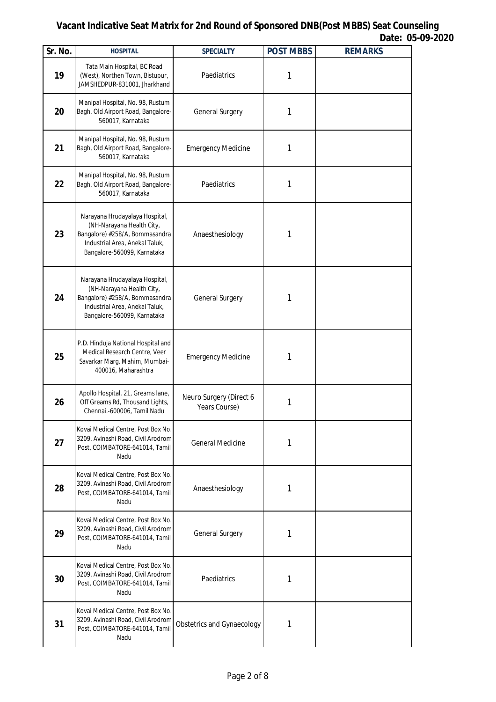| Sr. No. | <b>HOSPITAL</b>                                                                                                                                                | <b>SPECIALTY</b>                         | <b>POST MBBS</b> | <b>REMARKS</b> |
|---------|----------------------------------------------------------------------------------------------------------------------------------------------------------------|------------------------------------------|------------------|----------------|
| 19      | Tata Main Hospital, BC Road<br>(West), Northen Town, Bistupur,<br>JAMSHEDPUR-831001, Jharkhand                                                                 | Paediatrics                              | 1                |                |
| 20      | Manipal Hospital, No. 98, Rustum<br>Bagh, Old Airport Road, Bangalore-<br>560017, Karnataka                                                                    | General Surgery                          | 1                |                |
| 21      | Manipal Hospital, No. 98, Rustum<br>Bagh, Old Airport Road, Bangalore-<br>560017, Karnataka                                                                    | <b>Emergency Medicine</b>                | 1                |                |
| 22      | Manipal Hospital, No. 98, Rustum<br>Bagh, Old Airport Road, Bangalore-<br>560017, Karnataka                                                                    | Paediatrics                              | 1                |                |
| 23      | Narayana Hrudayalaya Hospital,<br>(NH-Narayana Health City,<br>Bangalore) #258/A, Bommasandra<br>Industrial Area, Anekal Taluk,<br>Bangalore-560099, Karnataka | Anaesthesiology                          | 1                |                |
| 24      | Narayana Hrudayalaya Hospital,<br>(NH-Narayana Health City,<br>Bangalore) #258/A, Bommasandra<br>Industrial Area, Anekal Taluk,<br>Bangalore-560099, Karnataka | General Surgery                          | 1                |                |
| 25      | P.D. Hinduja National Hospital and<br>Medical Research Centre, Veer<br>Savarkar Marg, Mahim, Mumbai-<br>400016, Maharashtra                                    | <b>Emergency Medicine</b>                | 1                |                |
| 26      | Apollo Hospital, 21, Greams lane,<br>Off Greams Rd, Thousand Lights,<br>Chennai.-600006, Tamil Nadu                                                            | Neuro Surgery (Direct 6<br>Years Course) | 1                |                |
| 27      | Kovai Medical Centre, Post Box No.<br>3209, Avinashi Road, Civil Arodrom<br>Post, COIMBATORE-641014, Tamil<br>Nadu                                             | <b>General Medicine</b>                  | 1                |                |
| 28      | Kovai Medical Centre, Post Box No.<br>3209, Avinashi Road, Civil Arodrom<br>Post, COIMBATORE-641014, Tamil<br>Nadu                                             | Anaesthesiology                          | 1                |                |
| 29      | Kovai Medical Centre, Post Box No.<br>3209, Avinashi Road, Civil Arodrom<br>Post, COIMBATORE-641014, Tamil<br>Nadu                                             | General Surgery                          | 1                |                |
| 30      | Kovai Medical Centre, Post Box No.<br>3209, Avinashi Road, Civil Arodrom<br>Post, COIMBATORE-641014, Tamil<br>Nadu                                             | Paediatrics                              | 1                |                |
| 31      | Kovai Medical Centre, Post Box No.<br>3209, Avinashi Road, Civil Arodrom<br>Post, COIMBATORE-641014, Tamil<br>Nadu                                             | <b>Obstetrics and Gynaecology</b>        | 1                |                |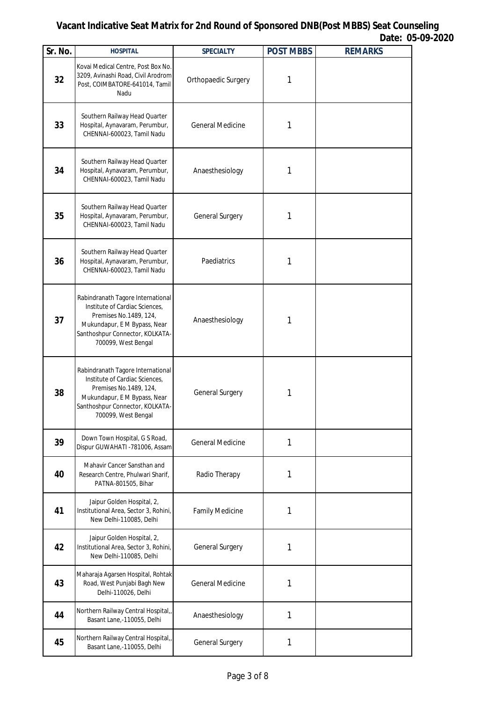| Sr. No. | <b>HOSPITAL</b>                                                                                                                                                                         | <b>SPECIALTY</b>        | <b>POST MBBS</b> | <b>REMARKS</b> |
|---------|-----------------------------------------------------------------------------------------------------------------------------------------------------------------------------------------|-------------------------|------------------|----------------|
| 32      | Kovai Medical Centre, Post Box No.<br>3209, Avinashi Road, Civil Arodrom<br>Post, COIMBATORE-641014, Tamil<br>Nadu                                                                      | Orthopaedic Surgery     | 1                |                |
| 33      | Southern Railway Head Quarter<br>Hospital, Aynavaram, Perumbur,<br>CHENNAI-600023, Tamil Nadu                                                                                           | <b>General Medicine</b> | 1                |                |
| 34      | Southern Railway Head Quarter<br>Hospital, Aynavaram, Perumbur,<br>CHENNAI-600023, Tamil Nadu                                                                                           | Anaesthesiology         | 1                |                |
| 35      | Southern Railway Head Quarter<br>Hospital, Aynavaram, Perumbur,<br>CHENNAI-600023, Tamil Nadu                                                                                           | General Surgery         | 1                |                |
| 36      | Southern Railway Head Quarter<br>Hospital, Aynavaram, Perumbur,<br>CHENNAI-600023, Tamil Nadu                                                                                           | Paediatrics             | 1                |                |
| 37      | Rabindranath Tagore International<br>Institute of Cardiac Sciences,<br>Premises No.1489, 124,<br>Mukundapur, E M Bypass, Near<br>Santhoshpur Connector, KOLKATA-<br>700099, West Bengal | Anaesthesiology         | 1                |                |
| 38      | Rabindranath Tagore International<br>Institute of Cardiac Sciences,<br>Premises No.1489, 124,<br>Mukundapur, E M Bypass, Near<br>Santhoshpur Connector, KOLKATA-<br>700099, West Bengal | General Surgery         | 1                |                |
| 39      | Down Town Hospital, G S Road,<br>Dispur GUWAHATI - 781006, Assam                                                                                                                        | <b>General Medicine</b> | 1                |                |
| 40      | Mahavir Cancer Sansthan and<br>Research Centre, Phulwari Sharif,<br>PATNA-801505, Bihar                                                                                                 | Radio Therapy           | 1                |                |
| 41      | Jaipur Golden Hospital, 2,<br>Institutional Area, Sector 3, Rohini,<br>New Delhi-110085, Delhi                                                                                          | <b>Family Medicine</b>  | 1                |                |
| 42      | Jaipur Golden Hospital, 2,<br>Institutional Area, Sector 3, Rohini,<br>New Delhi-110085, Delhi                                                                                          | General Surgery         | 1                |                |
| 43      | Maharaja Agarsen Hospital, Rohtak<br>Road, West Punjabi Bagh New<br>Delhi-110026, Delhi                                                                                                 | <b>General Medicine</b> | 1                |                |
| 44      | Northern Railway Central Hospital,,<br>Basant Lane,-110055, Delhi                                                                                                                       | Anaesthesiology         | 1                |                |
| 45      | Northern Railway Central Hospital,,<br>Basant Lane,-110055, Delhi                                                                                                                       | General Surgery         | 1                |                |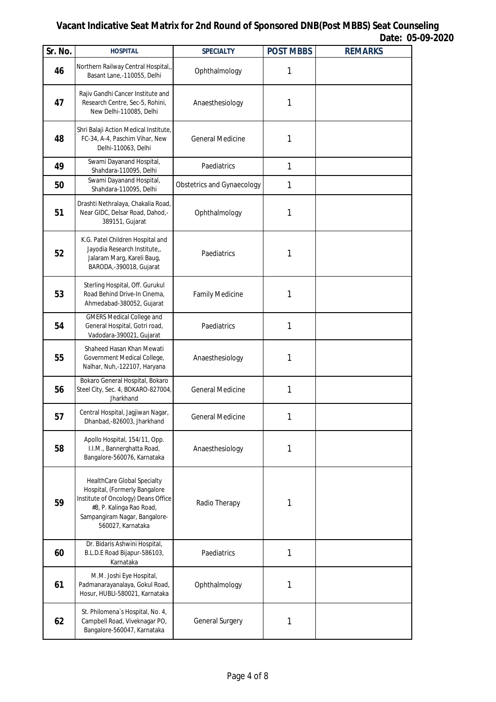| Sr. No. | <b>HOSPITAL</b>                                                                                                                                                                       | <b>SPECIALTY</b>                  | <b>POST MBBS</b> | <b>REMARKS</b> |
|---------|---------------------------------------------------------------------------------------------------------------------------------------------------------------------------------------|-----------------------------------|------------------|----------------|
| 46      | Northern Railway Central Hospital,,<br>Basant Lane,-110055, Delhi                                                                                                                     | Ophthalmology                     | 1                |                |
| 47      | Rajiv Gandhi Cancer Institute and<br>Research Centre, Sec-5, Rohini,<br>New Delhi-110085, Delhi                                                                                       | Anaesthesiology                   | 1                |                |
| 48      | Shri Balaji Action Medical Institute,<br>FC-34, A-4, Paschim Vihar, New<br>Delhi-110063, Delhi                                                                                        | <b>General Medicine</b>           | 1                |                |
| 49      | Swami Dayanand Hospital,<br>Shahdara-110095, Delhi                                                                                                                                    | Paediatrics                       | 1                |                |
| 50      | Swami Dayanand Hospital,<br>Shahdara-110095, Delhi                                                                                                                                    | <b>Obstetrics and Gynaecology</b> | 1                |                |
| 51      | Drashti Nethralaya, Chakalia Road,<br>Near GIDC, Delsar Road, Dahod,-<br>389151, Gujarat                                                                                              | Ophthalmology                     | 1                |                |
| 52      | K.G. Patel Children Hospital and<br>Jayodia Research Institute,,<br>Jalaram Marg, Kareli Baug,<br>BARODA,-390018, Gujarat                                                             | Paediatrics                       | 1                |                |
| 53      | Sterling Hospital, Off. Gurukul<br>Road Behind Drive-In Cinema,<br>Ahmedabad-380052, Gujarat                                                                                          | <b>Family Medicine</b>            | 1                |                |
| 54      | <b>GMERS Medical College and</b><br>General Hospital, Gotri road,<br>Vadodara-390021, Gujarat                                                                                         | Paediatrics                       | 1                |                |
| 55      | Shaheed Hasan Khan Mewati<br>Government Medical College,<br>Nalhar, Nuh,-122107, Haryana                                                                                              | Anaesthesiology                   | 1                |                |
| 56      | Bokaro General Hospital, Bokaro<br>Steel City, Sec. 4, BOKARO-827004,<br>Jharkhand                                                                                                    | <b>General Medicine</b>           | 1                |                |
| 57      | Central Hospital, Jagjiwan Nagar,<br>Dhanbad,-826003, Jharkhand                                                                                                                       | General Medicine                  | 1                |                |
| 58      | Apollo Hospital, 154/11, Opp.<br>I.I.M., Bannerghatta Road,<br>Bangalore-560076, Karnataka                                                                                            | Anaesthesiology                   | 1                |                |
| 59      | HealthCare Global Specialty<br>Hospital, (Formerly Bangalore<br>Institute of Oncology) Deans Office<br>#8, P. Kalinga Rao Road,<br>Sampangiram Nagar, Bangalore-<br>560027, Karnataka | Radio Therapy                     | 1                |                |
| 60      | Dr. Bidaris Ashwini Hospital,<br>B.L.D.E Road Bijapur-586103,<br>Karnataka                                                                                                            | Paediatrics                       | 1                |                |
| 61      | M.M. Joshi Eye Hospital,<br>Padmanarayanalaya, Gokul Road,<br>Hosur, HUBLI-580021, Karnataka                                                                                          | Ophthalmology                     | 1                |                |
| 62      | St. Philomena's Hospital, No. 4,<br>Campbell Road, Viveknagar PO,<br>Bangalore-560047, Karnataka                                                                                      | General Surgery                   | 1                |                |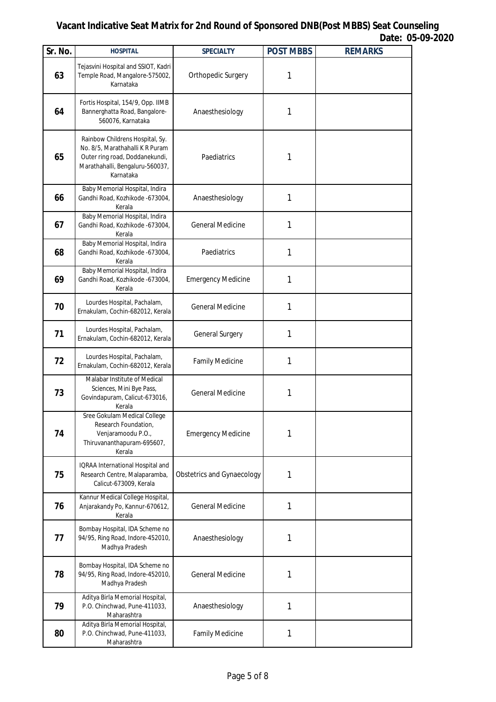| Sr. No. | <b>HOSPITAL</b>                                                                                                                                      | <b>SPECIALTY</b>                  | <b>POST MBBS</b> | <b>REMARKS</b> |
|---------|------------------------------------------------------------------------------------------------------------------------------------------------------|-----------------------------------|------------------|----------------|
| 63      | Tejasvini Hospital and SSIOT, Kadri<br>Temple Road, Mangalore-575002,<br>Karnataka                                                                   | Orthopedic Surgery                | 1                |                |
| 64      | Fortis Hospital, 154/9, Opp. IIMB<br>Bannerghatta Road, Bangalore-<br>560076, Karnataka                                                              | Anaesthesiology                   | 1                |                |
| 65      | Rainbow Childrens Hospital, Sy.<br>No. 8/5, Marathahalli K R Puram<br>Outer ring road, Doddanekundi,<br>Marathahalli, Bengaluru-560037,<br>Karnataka | Paediatrics                       | 1                |                |
| 66      | Baby Memorial Hospital, Indira<br>Gandhi Road, Kozhikode -673004,<br>Kerala                                                                          | Anaesthesiology                   | 1                |                |
| 67      | Baby Memorial Hospital, Indira<br>Gandhi Road, Kozhikode - 673004,<br>Kerala                                                                         | <b>General Medicine</b>           | 1                |                |
| 68      | Baby Memorial Hospital, Indira<br>Gandhi Road, Kozhikode -673004,<br>Kerala                                                                          | Paediatrics                       | 1                |                |
| 69      | Baby Memorial Hospital, Indira<br>Gandhi Road, Kozhikode -673004,<br>Kerala                                                                          | <b>Emergency Medicine</b>         | 1                |                |
| 70      | Lourdes Hospital, Pachalam,<br>Ernakulam, Cochin-682012, Kerala                                                                                      | <b>General Medicine</b>           | 1                |                |
| 71      | Lourdes Hospital, Pachalam,<br>Ernakulam, Cochin-682012, Kerala                                                                                      | General Surgery                   | 1                |                |
| 72      | Lourdes Hospital, Pachalam,<br>Ernakulam, Cochin-682012, Kerala                                                                                      | <b>Family Medicine</b>            | 1                |                |
| 73      | Malabar Institute of Medical<br>Sciences, Mini Bye Pass,<br>Govindapuram, Calicut-673016,<br>Kerala                                                  | <b>General Medicine</b>           | 1                |                |
| 74      | Sree Gokulam Medical College<br>Research Foundation,<br>Venjaramoodu P.O.,<br>Thiruvananthapuram-695607,<br>Kerala                                   | <b>Emergency Medicine</b>         | 1                |                |
| 75      | IQRAA International Hospital and<br>Research Centre, Malaparamba,<br>Calicut-673009, Kerala                                                          | <b>Obstetrics and Gynaecology</b> | 1                |                |
| 76      | Kannur Medical College Hospital,<br>Anjarakandy Po, Kannur-670612,<br>Kerala                                                                         | <b>General Medicine</b>           | 1                |                |
| 77      | Bombay Hospital, IDA Scheme no<br>94/95, Ring Road, Indore-452010,<br>Madhya Pradesh                                                                 | Anaesthesiology                   | 1                |                |
| 78      | Bombay Hospital, IDA Scheme no<br>94/95, Ring Road, Indore-452010,<br>Madhya Pradesh                                                                 | <b>General Medicine</b>           | 1                |                |
| 79      | Aditya Birla Memorial Hospital,<br>P.O. Chinchwad, Pune-411033,<br>Maharashtra                                                                       | Anaesthesiology                   | 1                |                |
| 80      | Aditya Birla Memorial Hospital,<br>P.O. Chinchwad, Pune-411033,<br>Maharashtra                                                                       | <b>Family Medicine</b>            | 1                |                |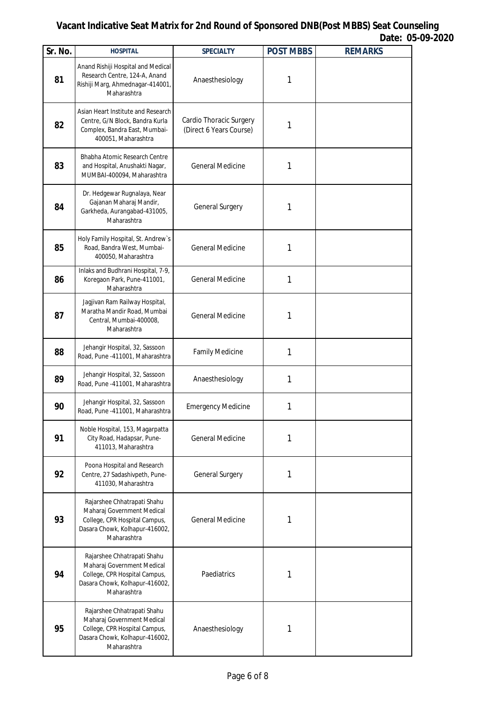| Sr. No. | <b>HOSPITAL</b>                                                                                                                             | <b>SPECIALTY</b>                                   | <b>POST MBBS</b> | <b>REMARKS</b> |
|---------|---------------------------------------------------------------------------------------------------------------------------------------------|----------------------------------------------------|------------------|----------------|
| 81      | Anand Rishiji Hospital and Medical<br>Research Centre, 124-A, Anand<br>Rishiji Marg, Ahmednagar-414001,<br>Maharashtra                      | Anaesthesiology                                    | 1                |                |
| 82      | Asian Heart Institute and Research<br>Centre, G/N Block, Bandra Kurla<br>Complex, Bandra East, Mumbai-<br>400051, Maharashtra               | Cardio Thoracic Surgery<br>(Direct 6 Years Course) | 1                |                |
| 83      | Bhabha Atomic Research Centre<br>and Hospital, Anushakti Nagar,<br>MUMBAI-400094, Maharashtra                                               | <b>General Medicine</b>                            | 1                |                |
| 84      | Dr. Hedgewar Rugnalaya, Near<br>Gajanan Maharaj Mandir,<br>Garkheda, Aurangabad-431005,<br>Maharashtra                                      | General Surgery                                    | 1                |                |
| 85      | Holy Family Hospital, St. Andrew's<br>Road, Bandra West, Mumbai-<br>400050, Maharashtra                                                     | <b>General Medicine</b>                            | 1                |                |
| 86      | Inlaks and Budhrani Hospital, 7-9,<br>Koregaon Park, Pune-411001,<br>Maharashtra                                                            | <b>General Medicine</b>                            | 1                |                |
| 87      | Jagjivan Ram Railway Hospital,<br>Maratha Mandir Road, Mumbai<br>Central, Mumbai-400008,<br>Maharashtra                                     | <b>General Medicine</b>                            | 1                |                |
| 88      | Jehangir Hospital, 32, Sassoon<br>Road, Pune -411001, Maharashtra                                                                           | <b>Family Medicine</b>                             | 1                |                |
| 89      | Jehangir Hospital, 32, Sassoon<br>Road, Pune -411001, Maharashtra                                                                           | Anaesthesiology                                    | 1                |                |
| 90      | Jehangir Hospital, 32, Sassoon<br>Road, Pune -411001, Maharashtra                                                                           | <b>Emergency Medicine</b>                          | 1                |                |
| 91      | Noble Hospital, 153, Magarpatta<br>City Road, Hadapsar, Pune-<br>411013, Maharashtra                                                        | <b>General Medicine</b>                            | 1                |                |
| 92      | Poona Hospital and Research<br>Centre, 27 Sadashivpeth, Pune-<br>411030, Maharashtra                                                        | General Surgery                                    | 1                |                |
| 93      | Rajarshee Chhatrapati Shahu<br>Maharaj Government Medical<br>College, CPR Hospital Campus,<br>Dasara Chowk, Kolhapur-416002,<br>Maharashtra | <b>General Medicine</b>                            | 1                |                |
| 94      | Rajarshee Chhatrapati Shahu<br>Maharaj Government Medical<br>College, CPR Hospital Campus,<br>Dasara Chowk, Kolhapur-416002,<br>Maharashtra | Paediatrics                                        | 1                |                |
| 95      | Rajarshee Chhatrapati Shahu<br>Maharaj Government Medical<br>College, CPR Hospital Campus,<br>Dasara Chowk, Kolhapur-416002,<br>Maharashtra | Anaesthesiology                                    | 1                |                |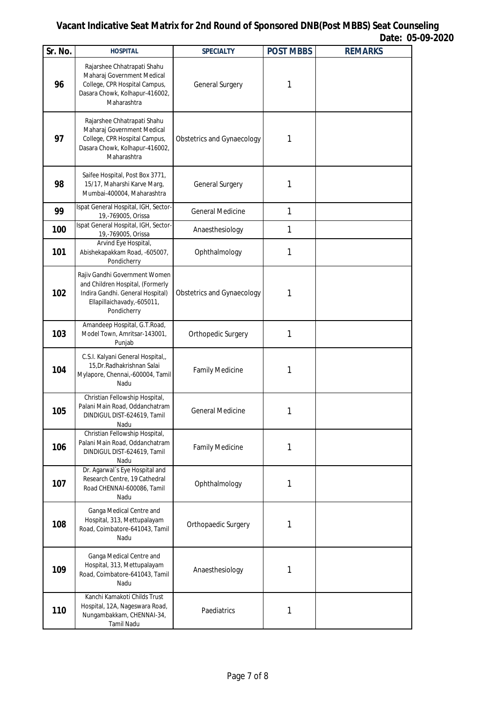| Sr. No. | <b>HOSPITAL</b>                                                                                                                                    | <b>SPECIALTY</b>                  | <b>POST MBBS</b> | <b>REMARKS</b> |
|---------|----------------------------------------------------------------------------------------------------------------------------------------------------|-----------------------------------|------------------|----------------|
| 96      | Rajarshee Chhatrapati Shahu<br>Maharaj Government Medical<br>College, CPR Hospital Campus,<br>Dasara Chowk, Kolhapur-416002,<br>Maharashtra        | General Surgery                   | 1                |                |
| 97      | Rajarshee Chhatrapati Shahu<br>Maharaj Government Medical<br>College, CPR Hospital Campus,<br>Dasara Chowk, Kolhapur-416002,<br>Maharashtra        | <b>Obstetrics and Gynaecology</b> | 1                |                |
| 98      | Saifee Hospital, Post Box 3771,<br>15/17, Maharshi Karve Marg,<br>Mumbai-400004, Maharashtra                                                       | General Surgery                   | 1                |                |
| 99      | Ispat General Hospital, IGH, Sector-<br>19,-769005, Orissa                                                                                         | <b>General Medicine</b>           | 1                |                |
| 100     | Ispat General Hospital, IGH, Sector-<br>19,-769005, Orissa                                                                                         | Anaesthesiology                   | 1                |                |
| 101     | Arvind Eye Hospital,<br>Abishekapakkam Road, -605007,<br>Pondicherry                                                                               | Ophthalmology                     | 1                |                |
| 102     | Rajiv Gandhi Government Women<br>and Children Hospital, (Formerly<br>Indira Gandhi. General Hospital)<br>Ellapillaichavady,-605011,<br>Pondicherry | <b>Obstetrics and Gynaecology</b> | 1                |                |
| 103     | Amandeep Hospital, G.T.Road,<br>Model Town, Amritsar-143001,<br>Punjab                                                                             | Orthopedic Surgery                | 1                |                |
| 104     | C.S.I. Kalyani General Hospital,<br>15, Dr. Radhakrishnan Salai<br>Mylapore, Chennai,-600004, Tamil<br>Nadu                                        | <b>Family Medicine</b>            | 1                |                |
| 105     | Christian Fellowship Hospital,<br>Palani Main Road, Oddanchatram<br>DINDIGUL DIST-624619, Tamil<br>Nadu                                            | <b>General Medicine</b>           | 1                |                |
| 106     | Christian Fellowship Hospital,<br>Palani Main Road, Oddanchatram<br>DINDIGUL DIST-624619, Tamil<br>Nadu                                            | <b>Family Medicine</b>            | 1                |                |
| 107     | Dr. Agarwal's Eye Hospital and<br>Research Centre, 19 Cathedral<br>Road CHENNAI-600086, Tamil<br>Nadu                                              | Ophthalmology                     | 1                |                |
| 108     | Ganga Medical Centre and<br>Hospital, 313, Mettupalayam<br>Road, Coimbatore-641043, Tamil<br>Nadu                                                  | Orthopaedic Surgery               | 1                |                |
| 109     | Ganga Medical Centre and<br>Hospital, 313, Mettupalayam<br>Road, Coimbatore-641043, Tamil<br>Nadu                                                  | Anaesthesiology                   | 1                |                |
| 110     | Kanchi Kamakoti Childs Trust<br>Hospital, 12A, Nageswara Road,<br>Nungambakkam, CHENNAI-34,<br><b>Tamil Nadu</b>                                   | Paediatrics                       | 1                |                |